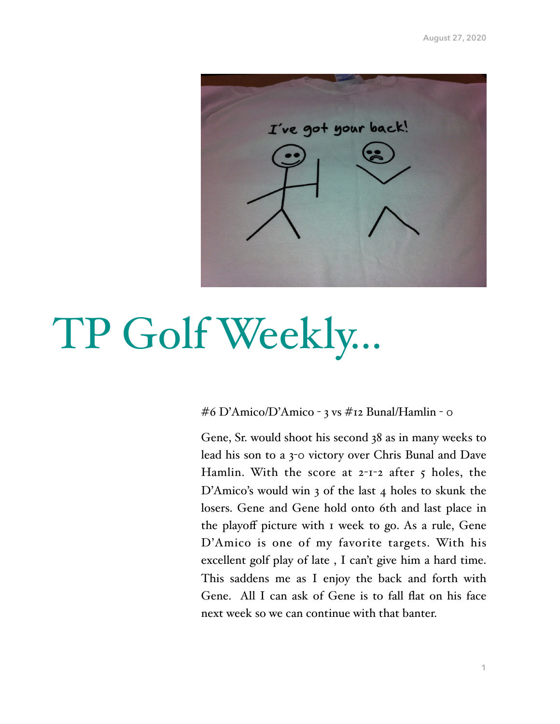

## TP Golf Weekly…

### #6 D'Amico/D'Amico - 3 vs #12 Bunal/Hamlin - 0

Gene, Sr. would shoot his second 38 as in many weeks to lead his son to a 3-0 victory over Chris Bunal and Dave Hamlin. With the score at  $2$ -1-2 after  $5$  holes, the D'Amico's would win 3 of the last 4 holes to skunk the losers. Gene and Gene hold onto 6th and last place in the playoff picture with 1 week to go. As a rule, Gene D'Amico is one of my favorite targets. With his excellent golf play of late , I can't give him a hard time. This saddens me as I enjoy the back and forth with Gene. All I can ask of Gene is to fall flat on his face next week so we can continue with that banter.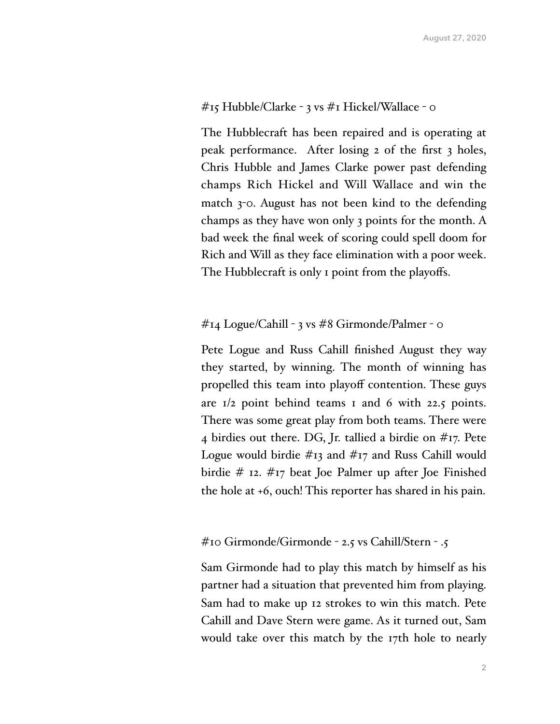## #15 Hubble/Clarke - 3 vs #1 Hickel/Wallace - 0

The Hubblecraft has been repaired and is operating at peak performance. After losing 2 of the first 3 holes, Chris Hubble and James Clarke power past defending champs Rich Hickel and Will Wallace and win the match 3-0. August has not been kind to the defending champs as they have won only 3 points for the month. A bad week the final week of scoring could spell doom for Rich and Will as they face elimination with a poor week. The Hubblecraft is only 1 point from the playoffs.

## #14 Logue/Cahill - 3 vs #8 Girmonde/Palmer - 0

Pete Logue and Russ Cahill finished August they way they started, by winning. The month of winning has propelled this team into playoff contention. These guys are  $1/2$  point behind teams 1 and 6 with 22.5 points. There was some great play from both teams. There were 4 birdies out there. DG, Jr. tallied a birdie on #17. Pete Logue would birdie #13 and #17 and Russ Cahill would birdie # 12. #17 beat Joe Palmer up after Joe Finished the hole at +6, ouch! This reporter has shared in his pain.

## #10 Girmonde/Girmonde - 2.5 vs Cahill/Stern - .5

Sam Girmonde had to play this match by himself as his partner had a situation that prevented him from playing. Sam had to make up 12 strokes to win this match. Pete Cahill and Dave Stern were game. As it turned out, Sam would take over this match by the 17th hole to nearly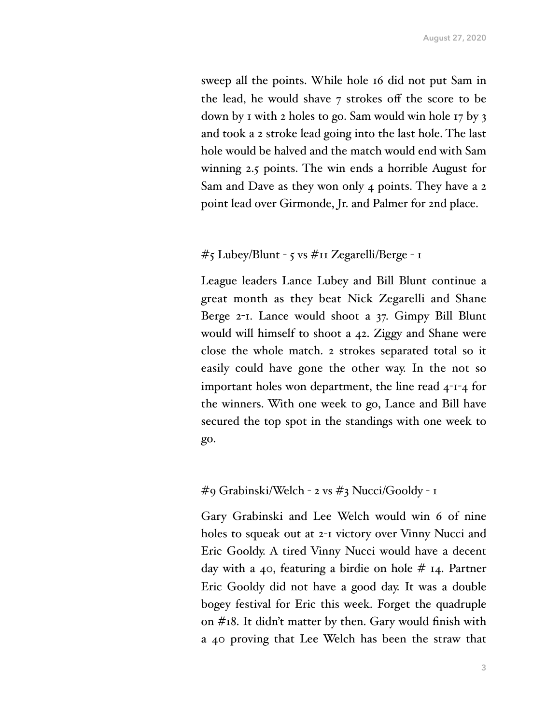sweep all the points. While hole 16 did not put Sam in the lead, he would shave 7 strokes off the score to be down by 1 with 2 holes to go. Sam would win hole 17 by 3 and took a 2 stroke lead going into the last hole. The last hole would be halved and the match would end with Sam winning 2.5 points. The win ends a horrible August for Sam and Dave as they won only 4 points. They have a 2 point lead over Girmonde, Jr. and Palmer for 2nd place.

#### #5 Lubey/Blunt - 5 vs #11 Zegarelli/Berge - 1

League leaders Lance Lubey and Bill Blunt continue a great month as they beat Nick Zegarelli and Shane Berge 2-1. Lance would shoot a 37. Gimpy Bill Blunt would will himself to shoot a 42. Ziggy and Shane were close the whole match. 2 strokes separated total so it easily could have gone the other way. In the not so important holes won department, the line read 4-1-4 for the winners. With one week to go, Lance and Bill have secured the top spot in the standings with one week to go.

#### #9 Grabinski/Welch - 2 vs #3 Nucci/Gooldy - 1

Gary Grabinski and Lee Welch would win 6 of nine holes to squeak out at 2-1 victory over Vinny Nucci and Eric Gooldy. A tired Vinny Nucci would have a decent day with a 40, featuring a birdie on hole # 14. Partner Eric Gooldy did not have a good day. It was a double bogey festival for Eric this week. Forget the quadruple on #18. It didn't matter by then. Gary would finish with a 40 proving that Lee Welch has been the straw that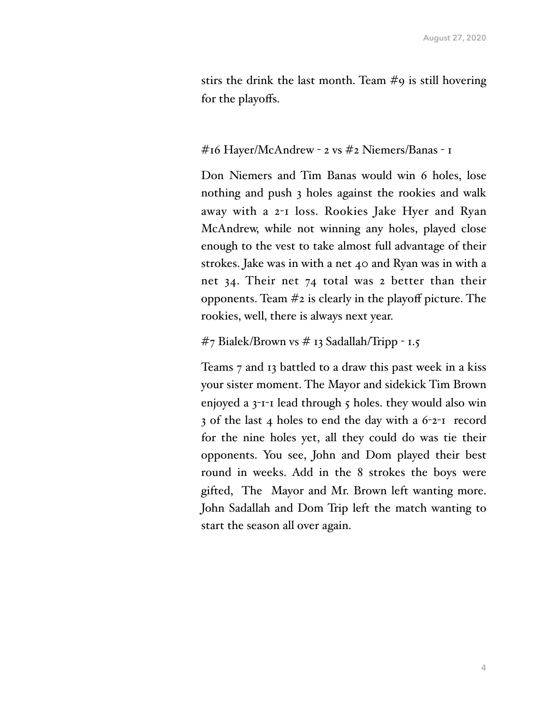stirs the drink the last month. Team #9 is still hovering for the playoffs.

## #16 Hayer/McAndrew - 2 vs #2 Niemers/Banas - 1

Don Niemers and Tim Banas would win 6 holes, lose nothing and push 3 holes against the rookies and walk away with a 2-1 loss. Rookies Jake Hyer and Ryan McAndrew, while not winning any holes, played close enough to the vest to take almost full advantage of their strokes. Jake was in with a net 40 and Ryan was in with a net 34. Their net 74 total was 2 better than their opponents. Team  $\#$ 2 is clearly in the playoff picture. The rookies, well, there is always next year.

## $\#$ 7 Bialek/Brown vs  $\#$  13 Sadallah/Tripp - 1.5

Teams 7 and 13 battled to a draw this past week in a kiss your sister moment. The Mayor and sidekick Tim Brown enjoyed a 3-1-1 lead through 5 holes. they would also win 3 of the last 4 holes to end the day with a 6-2-1 record for the nine holes yet, all they could do was tie their opponents. You see, John and Dom played their best round in weeks. Add in the 8 strokes the boys were gifted, The Mayor and Mr. Brown left wanting more. John Sadallah and Dom Trip left the match wanting to start the season all over again.